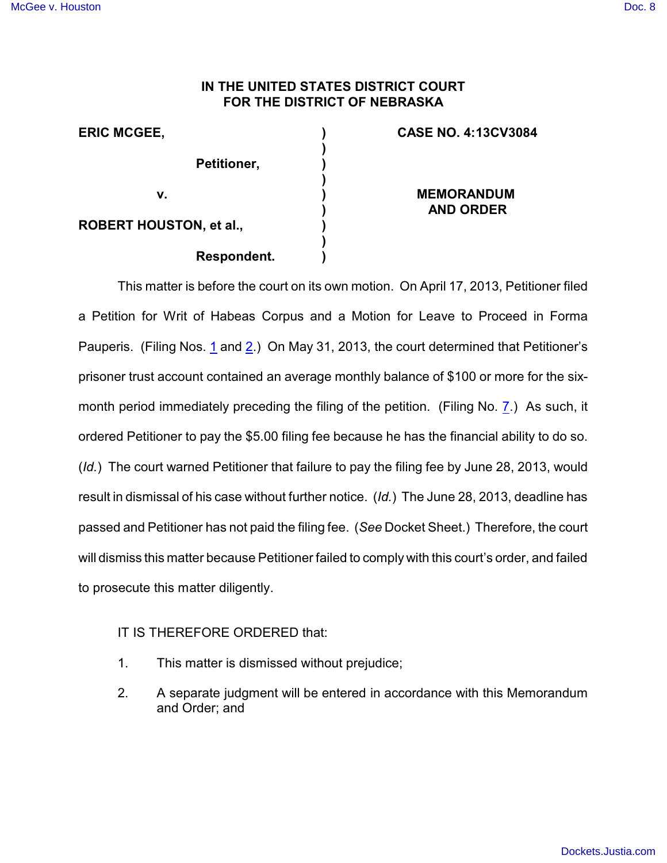## **IN THE UNITED STATES DISTRICT COURT FOR THE DISTRICT OF NEBRASKA**

| <b>ERIC MCGEE,</b>             | <b>CASE NO. 4:13CV3084</b> |
|--------------------------------|----------------------------|
|                                |                            |
| Petitioner,                    |                            |
|                                |                            |
| v.                             | <b>MEMORANDUM</b>          |
|                                | <b>AND ORDER</b>           |
| <b>ROBERT HOUSTON, et al.,</b> |                            |
|                                |                            |
| Respondent.                    |                            |

This matter is before the court on its own motion. On April 17, 2013, Petitioner filed a Petition for Writ of Habeas Corpus and a Motion for Leave to Proceed in Forma Pauperis. (Filing Nos. [1](https://ecf.ned.uscourts.gov/doc1/11312763196) and [2](https://ecf.ned.uscourts.gov/doc1/11312763199).) On May 31, 2013, the court determined that Petitioner's prisoner trust account contained an average monthly balance of \$100 or more for the sixmonth period immediately preceding the filing of the petition. (Filing No. [7](http://ecf.ned.uscourts.gov/doc1/11302795356).) As such, it ordered Petitioner to pay the \$5.00 filing fee because he has the financial ability to do so. (*Id.*) The court warned Petitioner that failure to pay the filing fee by June 28, 2013, would result in dismissal of his case without further notice. (*Id.*) The June 28, 2013, deadline has passed and Petitioner has not paid the filing fee. (*See* Docket Sheet.) Therefore, the court will dismiss this matter because Petitioner failed to comply with this court's order, and failed to prosecute this matter diligently.

## IT IS THEREFORE ORDERED that:

- 1. This matter is dismissed without prejudice;
- 2. A separate judgment will be entered in accordance with this Memorandum and Order; and